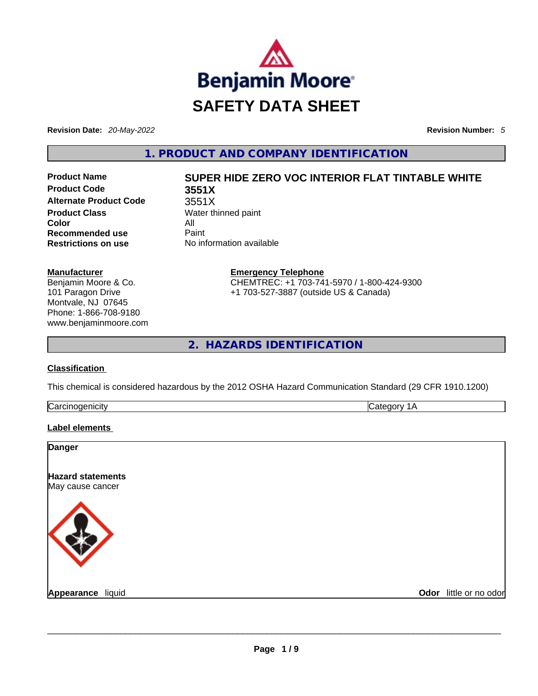

**Revision Date:** *20-May-2022* **Revision Number:** *5*

**1. PRODUCT AND COMPANY IDENTIFICATION** 

**Product Code 3551X Alternate Product Code** 3551X **Product Class Water thinned paint Color** All<br> **Recommended use** Paint **Recommended use Restrictions on use** No information available

# **Product Name SUPER HIDE ZERO VOC INTERIOR FLAT TINTABLE WHITE**

**Manufacturer** Benjamin Moore & Co. 101 Paragon Drive Montvale, NJ 07645 Phone: 1-866-708-9180 www.benjaminmoore.com **Emergency Telephone** CHEMTREC: +1 703-741-5970 / 1-800-424-9300 +1 703-527-3887 (outside US & Canada)

**2. HAZARDS IDENTIFICATION** 

#### **Classification**

This chemical is considered hazardous by the 2012 OSHA Hazard Communication Standard (29 CFR 1910.1200)

| הו<br>11. . A | . . |
|---------------|-----|
|               |     |

#### **Label elements**

| Odor little or no odor |
|------------------------|
|                        |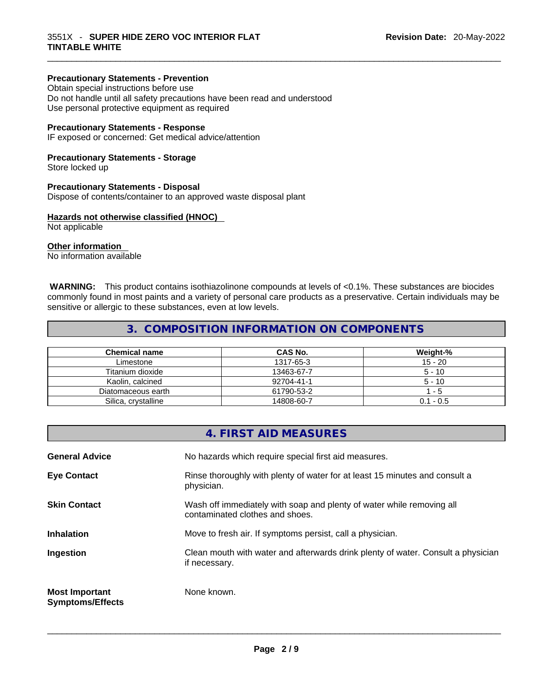#### **Precautionary Statements - Prevention**

Obtain special instructions before use Do not handle until all safety precautions have been read and understood Use personal protective equipment as required

#### **Precautionary Statements - Response**

IF exposed or concerned: Get medical advice/attention

#### **Precautionary Statements - Storage**

Store locked up

#### **Precautionary Statements - Disposal**

Dispose of contents/container to an approved waste disposal plant

#### **Hazards not otherwise classified (HNOC)**

Not applicable

#### **Other information**

No information available

 **WARNING:** This product contains isothiazolinone compounds at levels of <0.1%. These substances are biocides commonly found in most paints and a variety of personal care products as a preservative. Certain individuals may be sensitive or allergic to these substances, even at low levels.

### **3. COMPOSITION INFORMATION ON COMPONENTS**

| <b>Chemical name</b> | CAS No.    | Weight-%    |
|----------------------|------------|-------------|
| Limestone            | 1317-65-3  | $15 - 20$   |
| Titanium dioxide     | 13463-67-7 | $5 - 10$    |
| Kaolin, calcined     | 92704-41-1 | $5 - 10$    |
| Diatomaceous earth   | 61790-53-2 | $-5$        |
| Silica, crystalline  | 14808-60-7 | $0.1 - 0.5$ |

|                                                  | 4. FIRST AID MEASURES                                                                                    |
|--------------------------------------------------|----------------------------------------------------------------------------------------------------------|
| <b>General Advice</b>                            | No hazards which require special first aid measures.                                                     |
| <b>Eye Contact</b>                               | Rinse thoroughly with plenty of water for at least 15 minutes and consult a<br>physician.                |
| <b>Skin Contact</b>                              | Wash off immediately with soap and plenty of water while removing all<br>contaminated clothes and shoes. |
| <b>Inhalation</b>                                | Move to fresh air. If symptoms persist, call a physician.                                                |
| Ingestion                                        | Clean mouth with water and afterwards drink plenty of water. Consult a physician<br>if necessary.        |
| <b>Most Important</b><br><b>Symptoms/Effects</b> | None known.                                                                                              |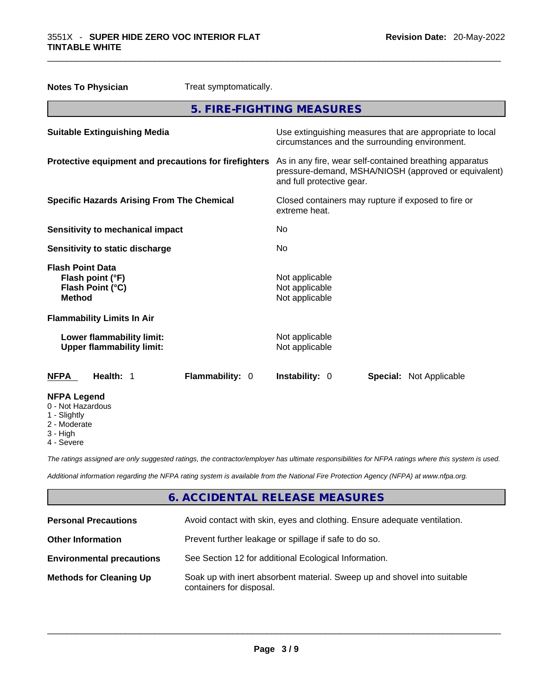| <b>Notes To Physician</b>                                                        | Treat symptomatically.                                |                                                                                                                                              |  |
|----------------------------------------------------------------------------------|-------------------------------------------------------|----------------------------------------------------------------------------------------------------------------------------------------------|--|
|                                                                                  |                                                       | 5. FIRE-FIGHTING MEASURES                                                                                                                    |  |
| <b>Suitable Extinguishing Media</b>                                              |                                                       | Use extinguishing measures that are appropriate to local<br>circumstances and the surrounding environment.                                   |  |
|                                                                                  | Protective equipment and precautions for firefighters | As in any fire, wear self-contained breathing apparatus<br>pressure-demand, MSHA/NIOSH (approved or equivalent)<br>and full protective gear. |  |
| <b>Specific Hazards Arising From The Chemical</b>                                |                                                       | Closed containers may rupture if exposed to fire or<br>extreme heat.                                                                         |  |
| <b>Sensitivity to mechanical impact</b>                                          |                                                       | No                                                                                                                                           |  |
| Sensitivity to static discharge                                                  |                                                       | No.                                                                                                                                          |  |
| <b>Flash Point Data</b><br>Flash point (°F)<br>Flash Point (°C)<br><b>Method</b> |                                                       | Not applicable<br>Not applicable<br>Not applicable                                                                                           |  |
| <b>Flammability Limits In Air</b>                                                |                                                       |                                                                                                                                              |  |
| Lower flammability limit:<br><b>Upper flammability limit:</b>                    |                                                       | Not applicable<br>Not applicable                                                                                                             |  |
| <b>NFPA</b><br>Health: 1                                                         | Flammability: 0                                       | <b>Instability: 0</b><br><b>Special: Not Applicable</b>                                                                                      |  |
| <b>NFPA Legend</b><br>0 - Not Hazardous<br>1 - Slightly                          |                                                       |                                                                                                                                              |  |

- 
- 2 Moderate
- 3 High
- 4 Severe

*The ratings assigned are only suggested ratings, the contractor/employer has ultimate responsibilities for NFPA ratings where this system is used.* 

*Additional information regarding the NFPA rating system is available from the National Fire Protection Agency (NFPA) at www.nfpa.org.* 

## **6. ACCIDENTAL RELEASE MEASURES**

| <b>Personal Precautions</b>      | Avoid contact with skin, eyes and clothing. Ensure adequate ventilation.                             |
|----------------------------------|------------------------------------------------------------------------------------------------------|
| <b>Other Information</b>         | Prevent further leakage or spillage if safe to do so.                                                |
| <b>Environmental precautions</b> | See Section 12 for additional Ecological Information.                                                |
| <b>Methods for Cleaning Up</b>   | Soak up with inert absorbent material. Sweep up and shovel into suitable<br>containers for disposal. |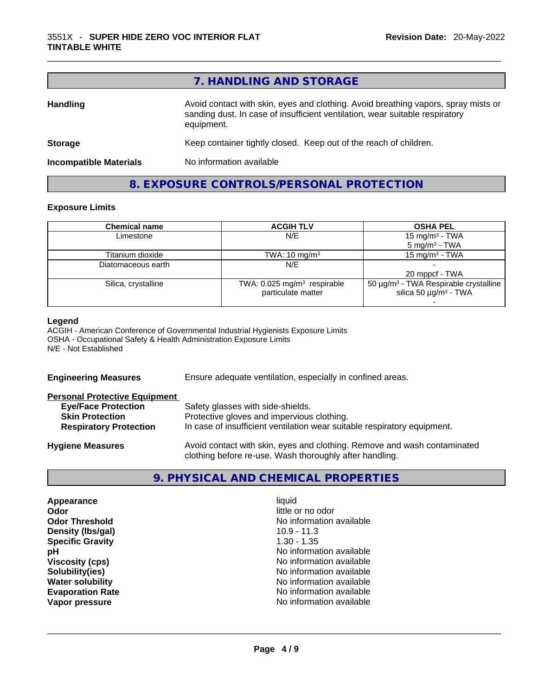|                               | 7. HANDLING AND STORAGE                                                                                                                                                          |
|-------------------------------|----------------------------------------------------------------------------------------------------------------------------------------------------------------------------------|
| <b>Handling</b>               | Avoid contact with skin, eyes and clothing. Avoid breathing vapors, spray mists or<br>sanding dust. In case of insufficient ventilation, wear suitable respiratory<br>equipment. |
| <b>Storage</b>                | Keep container tightly closed. Keep out of the reach of children.                                                                                                                |
| <b>Incompatible Materials</b> | No information available                                                                                                                                                         |

# **8. EXPOSURE CONTROLS/PERSONAL PROTECTION**

#### **Exposure Limits**

| <b>Chemical name</b> | <b>ACGIH TLV</b>                        | <b>OSHA PEL</b>                                        |
|----------------------|-----------------------------------------|--------------------------------------------------------|
| Limestone            | N/E                                     | 15 mg/m <sup>3</sup> - TWA                             |
|                      |                                         | $5 \text{ mg/m}^3$ - TWA                               |
| Titanium dioxide     | TWA: $10 \text{ mg/m}^3$                | $15 \text{ mg/m}^3$ - TWA                              |
| Diatomaceous earth   | N/E                                     |                                                        |
|                      |                                         | 20 mppcf - TWA                                         |
| Silica, crystalline  | TWA: 0.025 mg/m <sup>3</sup> respirable | 50 $\mu$ g/m <sup>3</sup> - TWA Respirable crystalline |
|                      | particulate matter                      | silica 50 $\mu$ g/m <sup>3</sup> - TWA                 |
|                      |                                         |                                                        |

#### **Legend**

ACGIH - American Conference of Governmental Industrial Hygienists Exposure Limits OSHA - Occupational Safety & Health Administration Exposure Limits N/E - Not Established

| <b>Engineering Measures</b>                                                                                                   | Ensure adequate ventilation, especially in confined areas.                                                                                                  |  |
|-------------------------------------------------------------------------------------------------------------------------------|-------------------------------------------------------------------------------------------------------------------------------------------------------------|--|
| <b>Personal Protective Equipment</b><br><b>Eye/Face Protection</b><br><b>Skin Protection</b><br><b>Respiratory Protection</b> | Safety glasses with side-shields.<br>Protective gloves and impervious clothing.<br>In case of insufficient ventilation wear suitable respiratory equipment. |  |
| <b>Hygiene Measures</b>                                                                                                       | Avoid contact with skin, eyes and clothing. Remove and wash contaminated<br>clothing before re-use. Wash thoroughly after handling.                         |  |

# **9. PHYSICAL AND CHEMICAL PROPERTIES**

| Appearance              | liquid                   |  |
|-------------------------|--------------------------|--|
| Odor                    | little or no odor        |  |
| <b>Odor Threshold</b>   | No information available |  |
| Density (Ibs/gal)       | $10.9 - 11.3$            |  |
| <b>Specific Gravity</b> | $1.30 - 1.35$            |  |
| рH                      | No information available |  |
| <b>Viscosity (cps)</b>  | No information available |  |
| Solubility(ies)         | No information available |  |
| <b>Water solubility</b> | No information available |  |
| <b>Evaporation Rate</b> | No information available |  |
| Vapor pressure          | No information available |  |
|                         |                          |  |
|                         |                          |  |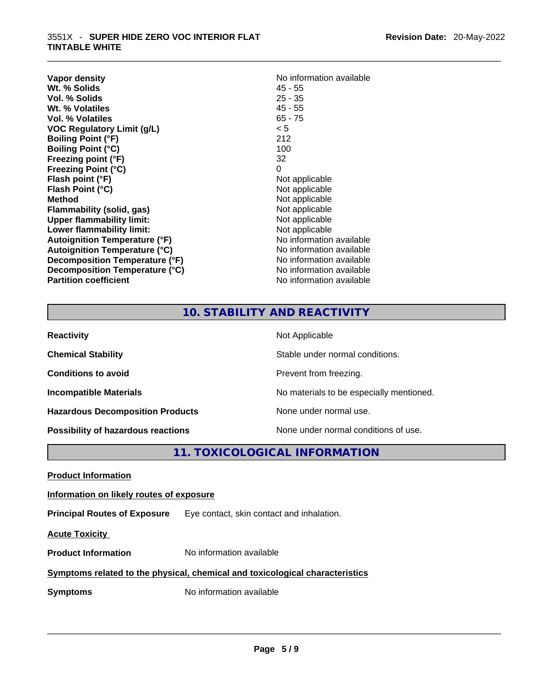| Vapor density<br>Wt. % Solids<br>Vol. % Solids<br>Wt. % Volatiles<br>Vol. % Volatiles<br><b>VOC Regulatory Limit (g/L)</b><br><b>Boiling Point (°F)</b><br><b>Boiling Point (°C)</b><br>Freezing point (°F)<br><b>Freezing Point (°C)</b><br>Flash point (°F)<br>Flash Point (°C)<br><b>Method</b><br>Flammability (solid, gas)<br><b>Upper flammability limit:</b><br>Lower flammability limit:<br><b>Autoignition Temperature (°F)</b><br><b>Autoignition Temperature (°C)</b> | No information available<br>$45 - 55$<br>$25 - 35$<br>$45 - 55$<br>$65 - 75$<br>< 5<br>212<br>100<br>32<br>0<br>Not applicable<br>Not applicable<br>Not applicable<br>Not applicable<br>Not applicable<br>Not applicable<br>No information available<br>No information available<br>No information available |
|----------------------------------------------------------------------------------------------------------------------------------------------------------------------------------------------------------------------------------------------------------------------------------------------------------------------------------------------------------------------------------------------------------------------------------------------------------------------------------|--------------------------------------------------------------------------------------------------------------------------------------------------------------------------------------------------------------------------------------------------------------------------------------------------------------|
| Decomposition Temperature (°F)<br>Decomposition Temperature (°C)<br><b>Partition coefficient</b>                                                                                                                                                                                                                                                                                                                                                                                 | No information available<br>No information available                                                                                                                                                                                                                                                         |
|                                                                                                                                                                                                                                                                                                                                                                                                                                                                                  |                                                                                                                                                                                                                                                                                                              |

# **No information available 45 - 55 Not applicable Not applicable** Not applicable **Flammability (solid, gas)** Not applicable **Not applicable Not applicable No information available No information available No information available No information available No information available**

# **10. STABILITY AND REACTIVITY**

| <b>Reactivity</b>                         | Not Applicable                           |
|-------------------------------------------|------------------------------------------|
| <b>Chemical Stability</b>                 | Stable under normal conditions.          |
| <b>Conditions to avoid</b>                | Prevent from freezing.                   |
| <b>Incompatible Materials</b>             | No materials to be especially mentioned. |
| <b>Hazardous Decomposition Products</b>   | None under normal use.                   |
| <b>Possibility of hazardous reactions</b> | None under normal conditions of use.     |

# **11. TOXICOLOGICAL INFORMATION**

|--|--|

#### **Information on likely routes of exposure**

**Principal Routes of Exposure** Eye contact, skin contact and inhalation.

**Acute Toxicity** 

**Product Information** No information available

#### **Symptoms related to the physical,chemical and toxicological characteristics**

**Symptoms** No information available **Note that the set of the set of the set of the set of the set of the set of the set of the set of the set of the set of the set of the set of the set of the set of the set of the set of**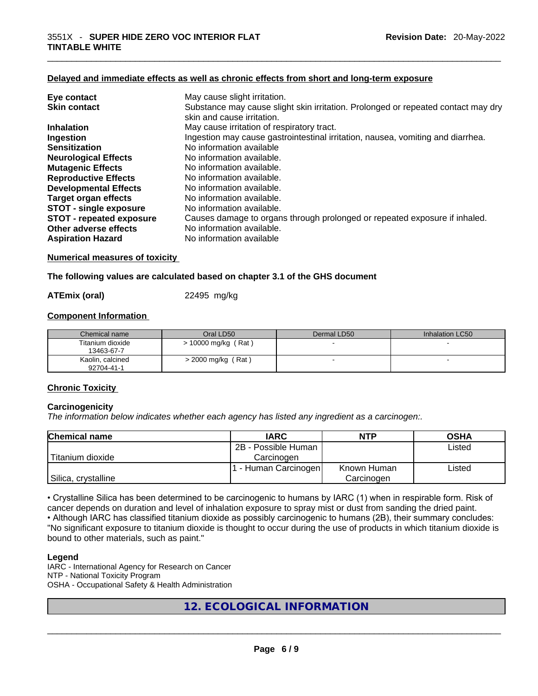#### **Delayed and immediate effects as well as chronic effects from short and long-term exposure**

| Eye contact                     | May cause slight irritation.                                                      |
|---------------------------------|-----------------------------------------------------------------------------------|
| <b>Skin contact</b>             | Substance may cause slight skin irritation. Prolonged or repeated contact may dry |
|                                 | skin and cause irritation.                                                        |
| <b>Inhalation</b>               | May cause irritation of respiratory tract.                                        |
| Ingestion                       | Ingestion may cause gastrointestinal irritation, nausea, vomiting and diarrhea.   |
| <b>Sensitization</b>            | No information available                                                          |
| <b>Neurological Effects</b>     | No information available.                                                         |
| <b>Mutagenic Effects</b>        | No information available.                                                         |
| <b>Reproductive Effects</b>     | No information available.                                                         |
| <b>Developmental Effects</b>    | No information available.                                                         |
| <b>Target organ effects</b>     | No information available.                                                         |
| <b>STOT - single exposure</b>   | No information available.                                                         |
| <b>STOT - repeated exposure</b> | Causes damage to organs through prolonged or repeated exposure if inhaled.        |
| Other adverse effects           | No information available.                                                         |
| <b>Aspiration Hazard</b>        | No information available                                                          |

#### **Numerical measures of toxicity**

#### **The following values are calculated based on chapter 3.1 of the GHS document**

**ATEmix (oral)** 22495 mg/kg

#### **Component Information**

| Chemical name                  | Oral LD50             | Dermal LD50 | Inhalation LC50 |
|--------------------------------|-----------------------|-------------|-----------------|
| Titanium dioxide<br>13463-67-7 | $> 10000$ mg/kg (Rat) |             |                 |
| Kaolin, calcined<br>92704-41-1 | > 2000 mg/kg (Rat)    |             |                 |

#### **Chronic Toxicity**

#### **Carcinogenicity**

*The information below indicates whether each agency has listed any ingredient as a carcinogen:.* 

| <b>Chemical name</b> | <b>IARC</b>          | <b>NTP</b>  | <b>OSHA</b> |
|----------------------|----------------------|-------------|-------------|
|                      | 2B - Possible Human  |             | Listed      |
| l Titanium dioxide   | Carcinogen           |             |             |
|                      | 1 - Human Carcinogen | Known Human | ∟isted      |
| Silica, crystalline  |                      | Carcinogen  |             |

• Crystalline Silica has been determined to be carcinogenic to humans by IARC (1) when in respirable form. Risk of cancer depends on duration and level of inhalation exposure to spray mist or dust from sanding the dried paint.

• Although IARC has classified titanium dioxide as possibly carcinogenic to humans (2B), their summary concludes: "No significant exposure to titanium dioxide is thought to occur during the use of products in which titanium dioxide is bound to other materials, such as paint."

#### **Legend**

IARC - International Agency for Research on Cancer NTP - National Toxicity Program OSHA - Occupational Safety & Health Administration

**12. ECOLOGICAL INFORMATION**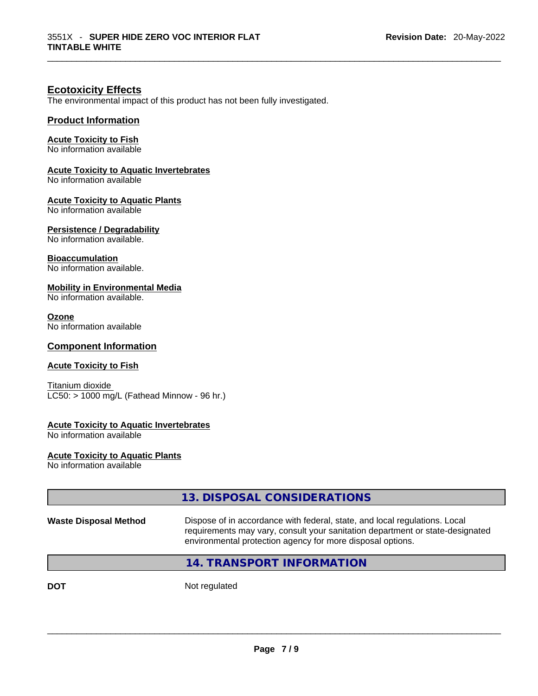#### **Ecotoxicity Effects**

The environmental impact of this product has not been fully investigated.

#### **Product Information**

#### **Acute Toxicity to Fish**

No information available

#### **Acute Toxicity to Aquatic Invertebrates**

No information available

#### **Acute Toxicity to Aquatic Plants**

No information available

#### **Persistence / Degradability**

No information available.

#### **Bioaccumulation**

No information available.

#### **Mobility in Environmental Media**

No information available.

#### **Ozone**

No information available

#### **Component Information**

#### **Acute Toxicity to Fish**

Titanium dioxide  $LC50:$  > 1000 mg/L (Fathead Minnow - 96 hr.)

#### **Acute Toxicity to Aquatic Invertebrates**

No information available

**Acute Toxicity to Aquatic Plants** No information available

|                              | 13. DISPOSAL CONSIDERATIONS                                                                                                                                                                                               |
|------------------------------|---------------------------------------------------------------------------------------------------------------------------------------------------------------------------------------------------------------------------|
| <b>Waste Disposal Method</b> | Dispose of in accordance with federal, state, and local regulations. Local<br>requirements may vary, consult your sanitation department or state-designated<br>environmental protection agency for more disposal options. |
|                              | <b>14. TRANSPORT INFORMATION</b>                                                                                                                                                                                          |
| <b>DOT</b>                   | Not regulated                                                                                                                                                                                                             |
|                              |                                                                                                                                                                                                                           |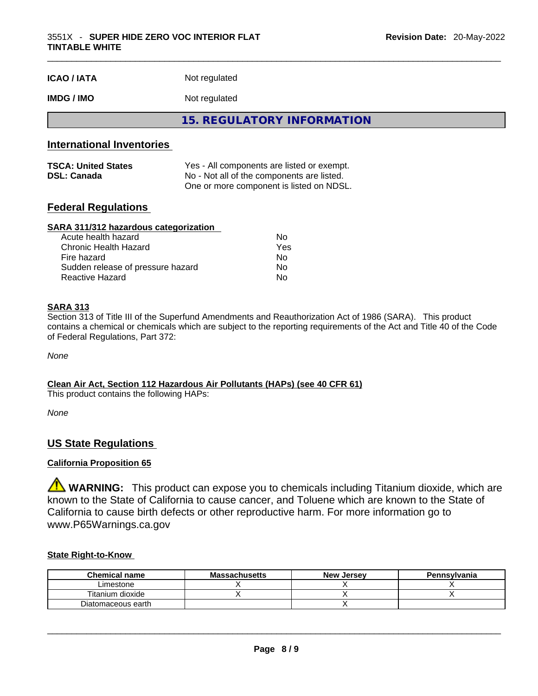| <b>ICAO/IATA</b> | Not regulated |
|------------------|---------------|
|                  |               |

#### **IMDG / IMO** Not regulated

**15. REGULATORY INFORMATION** 

#### **International Inventories**

| <b>TSCA: United States</b> | Yes - All components are listed or exempt. |
|----------------------------|--------------------------------------------|
| <b>DSL: Canada</b>         | No - Not all of the components are listed. |
|                            | One or more component is listed on NDSL.   |

#### **Federal Regulations**

#### **SARA 311/312 hazardous categorization**

| Acute health hazard               | Nο  |
|-----------------------------------|-----|
| Chronic Health Hazard             | Yes |
| Fire hazard                       | Nο  |
| Sudden release of pressure hazard | Nο  |
| Reactive Hazard                   | N٥  |

#### **SARA 313**

Section 313 of Title III of the Superfund Amendments and Reauthorization Act of 1986 (SARA). This product contains a chemical or chemicals which are subject to the reporting requirements of the Act and Title 40 of the Code of Federal Regulations, Part 372:

*None*

**Clean Air Act,Section 112 Hazardous Air Pollutants (HAPs) (see 40 CFR 61)** This product contains the following HAPs:

*None*

#### **US State Regulations**

#### **California Proposition 65**

**WARNING:** This product can expose you to chemicals including Titanium dioxide, which are known to the State of California to cause cancer, and Toluene which are known to the State of California to cause birth defects or other reproductive harm. For more information go to www.P65Warnings.ca.gov

#### **State Right-to-Know**

| <b>Chemical name</b> | <b>Massachusetts</b> | <b>New Jersey</b> | Pennsylvania |
|----------------------|----------------------|-------------------|--------------|
| Limestone            |                      |                   |              |
| Titanium dioxide     |                      |                   |              |
| Diatomaceous earth   |                      |                   |              |